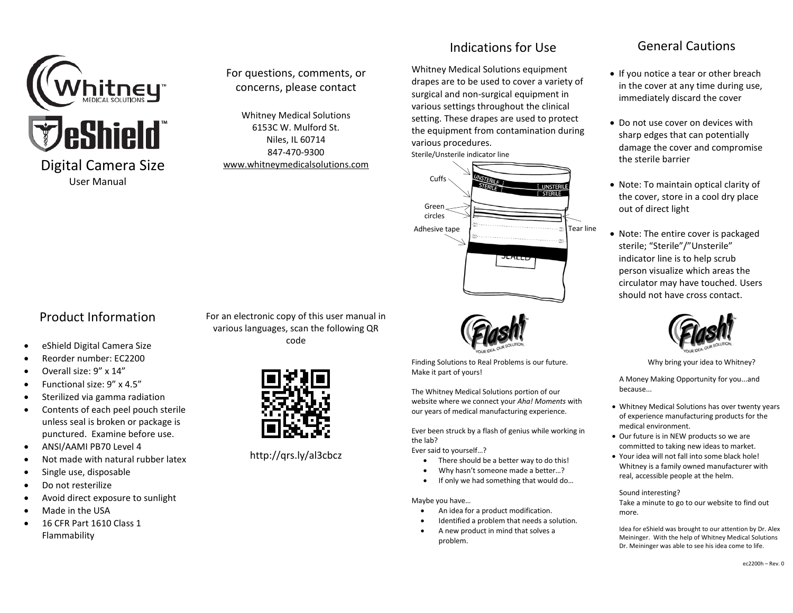

# For questions, comments, or concerns, please contact

Whitney Medical Solutions 6153C W. Mulford St. Niles, IL 60714 847-470-9300 [www.whitneymedicalsolutions.com](http://www.whitneymedicalsolutions.com/)

# Indications for Use

Whitney Medical Solutions equipment drapes are to be used to cover a variety of surgical and non-surgical equipment in various settings throughout the clinical setting. These drapes are used to protect the equipment from contamination during various procedures.





Finding Solutions to Real Problems is our future. Make it part of yours!

The Whitney Medical Solutions portion of our website where we connect your *Aha! Moments* with our years of medical manufacturing experience.

Ever been struck by a flash of genius while working in the lab?

Ever said to yourself…?

- There should be a better way to do this!
- Why hasn't someone made a better…?
- If only we had something that would do…

Maybe you have…

- An idea for a product modification.
- Identified a problem that needs a solution.
- A new product in mind that solves a problem.

# General Cautions

- If you notice a tear or other breach in the cover at any time during use, immediately discard the cover
- Do not use cover on devices with sharp edges that can potentially damage the cover and compromise the sterile barrier
- Note: To maintain optical clarity of the cover, store in a cool dry place out of direct light
- Note: The entire cover is packaged sterile; "Sterile"/"Unsterile" indicator line is to help scrub person visualize which areas the circulator may have touched. Users should not have cross contact.



Why bring your idea to Whitney?

A Money Making Opportunity for you...and because...

- Whitney Medical Solutions has over twenty years of experience manufacturing products for the medical environment.
- Our future is in NEW products so we are committed to taking new ideas to market.
- Your idea will not fall into some black hole! Whitney is a family owned manufacturer with real, accessible people at the helm.

#### Sound interesting?

Take a minute to go to our website to find out more.

Idea for eShield was brought to our attention by Dr. Alex Meininger. With the help of Whitney Medical Solutions Dr. Meininger was able to see his idea come to life.

# Product Information

- eShield Digital Camera Size
- Reorder number: EC2200
- Overall size: 9" x 14"
- Functional size: 9" x 4.5"
- Sterilized via gamma radiation
- Contents of each peel pouch sterile unless seal is broken or package is punctured. Examine before use.
- ANSI/AAMI PB70 Level 4
- Not made with natural rubber latex
- Single use, disposable
- Do not resterilize
- Avoid direct exposure to sunlight
- Made in the USA
- 16 CFR Part 1610 Class 1 Flammability

For an electronic copy of this user manual in various languages, scan the following QR code



http://qrs.ly/al3cbcz